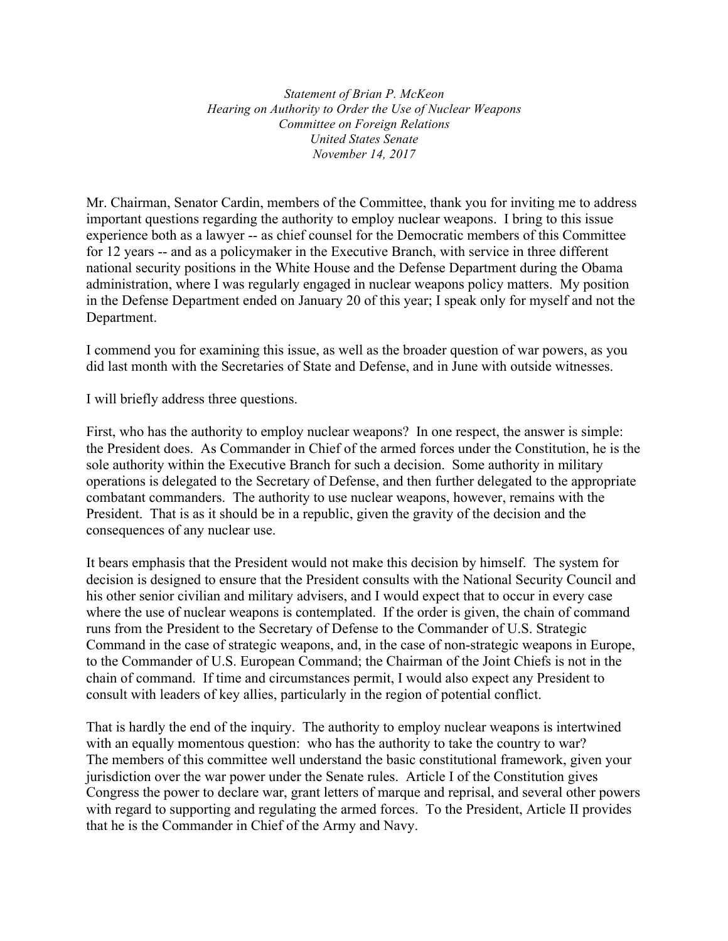*Statement of Brian P. McKeon Hearing on Authority to Order the Use of Nuclear Weapons Committee on Foreign Relations United States Senate November 14, 2017*

Mr. Chairman, Senator Cardin, members of the Committee, thank you for inviting me to address important questions regarding the authority to employ nuclear weapons. I bring to this issue experience both as a lawyer -- as chief counsel for the Democratic members of this Committee for 12 years -- and as a policymaker in the Executive Branch, with service in three different national security positions in the White House and the Defense Department during the Obama administration, where I was regularly engaged in nuclear weapons policy matters. My position in the Defense Department ended on January 20 of this year; I speak only for myself and not the Department.

I commend you for examining this issue, as well as the broader question of war powers, as you did last month with the Secretaries of State and Defense, and in June with outside witnesses.

I will briefly address three questions.

First, who has the authority to employ nuclear weapons? In one respect, the answer is simple: the President does. As Commander in Chief of the armed forces under the Constitution, he is the sole authority within the Executive Branch for such a decision. Some authority in military operations is delegated to the Secretary of Defense, and then further delegated to the appropriate combatant commanders. The authority to use nuclear weapons, however, remains with the President. That is as it should be in a republic, given the gravity of the decision and the consequences of any nuclear use.

It bears emphasis that the President would not make this decision by himself. The system for decision is designed to ensure that the President consults with the National Security Council and his other senior civilian and military advisers, and I would expect that to occur in every case where the use of nuclear weapons is contemplated. If the order is given, the chain of command runs from the President to the Secretary of Defense to the Commander of U.S. Strategic Command in the case of strategic weapons, and, in the case of non-strategic weapons in Europe, to the Commander of U.S. European Command; the Chairman of the Joint Chiefs is not in the chain of command. If time and circumstances permit, I would also expect any President to consult with leaders of key allies, particularly in the region of potential conflict.

That is hardly the end of the inquiry. The authority to employ nuclear weapons is intertwined with an equally momentous question: who has the authority to take the country to war? The members of this committee well understand the basic constitutional framework, given your jurisdiction over the war power under the Senate rules. Article I of the Constitution gives Congress the power to declare war, grant letters of marque and reprisal, and several other powers with regard to supporting and regulating the armed forces. To the President, Article II provides that he is the Commander in Chief of the Army and Navy.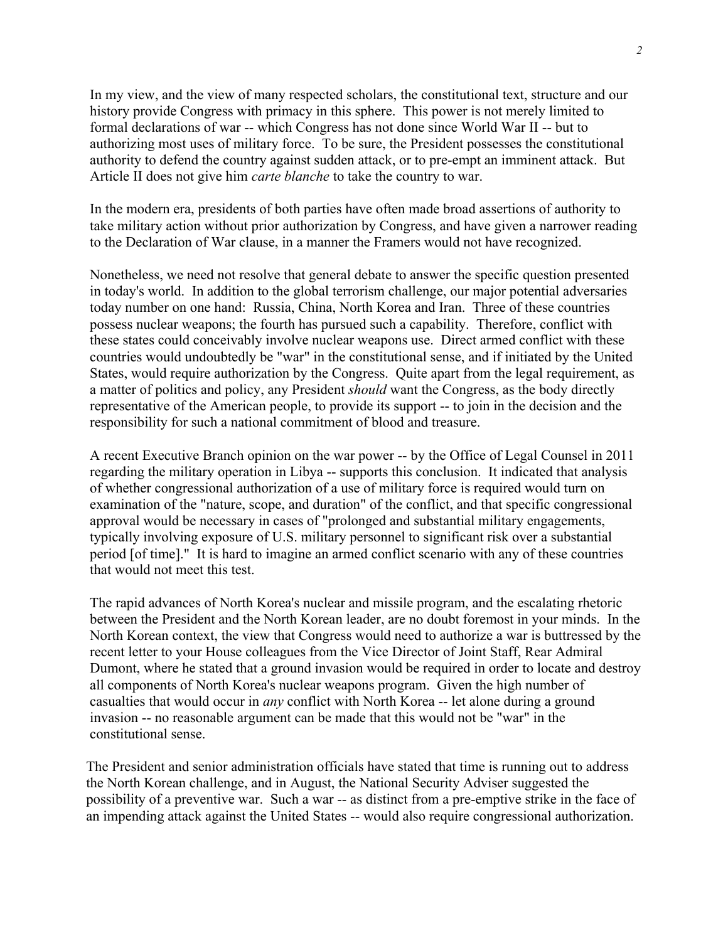In my view, and the view of many respected scholars, the constitutional text, structure and our history provide Congress with primacy in this sphere. This power is not merely limited to formal declarations of war -- which Congress has not done since World War II -- but to authorizing most uses of military force. To be sure, the President possesses the constitutional authority to defend the country against sudden attack, or to pre-empt an imminent attack. But Article II does not give him *carte blanche* to take the country to war.

In the modern era, presidents of both parties have often made broad assertions of authority to take military action without prior authorization by Congress, and have given a narrower reading to the Declaration of War clause, in a manner the Framers would not have recognized.

Nonetheless, we need not resolve that general debate to answer the specific question presented in today's world. In addition to the global terrorism challenge, our major potential adversaries today number on one hand: Russia, China, North Korea and Iran. Three of these countries possess nuclear weapons; the fourth has pursued such a capability. Therefore, conflict with these states could conceivably involve nuclear weapons use. Direct armed conflict with these countries would undoubtedly be "war" in the constitutional sense, and if initiated by the United States, would require authorization by the Congress. Quite apart from the legal requirement, as a matter of politics and policy, any President *should* want the Congress, as the body directly representative of the American people, to provide its support -- to join in the decision and the responsibility for such a national commitment of blood and treasure.

A recent Executive Branch opinion on the war power -- by the Office of Legal Counsel in 2011 regarding the military operation in Libya -- supports this conclusion. It indicated that analysis of whether congressional authorization of a use of military force is required would turn on examination of the "nature, scope, and duration" of the conflict, and that specific congressional approval would be necessary in cases of "prolonged and substantial military engagements, typically involving exposure of U.S. military personnel to significant risk over a substantial period [of time]." It is hard to imagine an armed conflict scenario with any of these countries that would not meet this test.

The rapid advances of North Korea's nuclear and missile program, and the escalating rhetoric between the President and the North Korean leader, are no doubt foremost in your minds. In the North Korean context, the view that Congress would need to authorize a war is buttressed by the recent letter to your House colleagues from the Vice Director of Joint Staff, Rear Admiral Dumont, where he stated that a ground invasion would be required in order to locate and destroy all components of North Korea's nuclear weapons program. Given the high number of casualties that would occur in *any* conflict with North Korea -- let alone during a ground invasion -- no reasonable argument can be made that this would not be "war" in the constitutional sense.

The President and senior administration officials have stated that time is running out to address the North Korean challenge, and in August, the National Security Adviser suggested the possibility of a preventive war. Such a war -- as distinct from a pre-emptive strike in the face of an impending attack against the United States -- would also require congressional authorization.